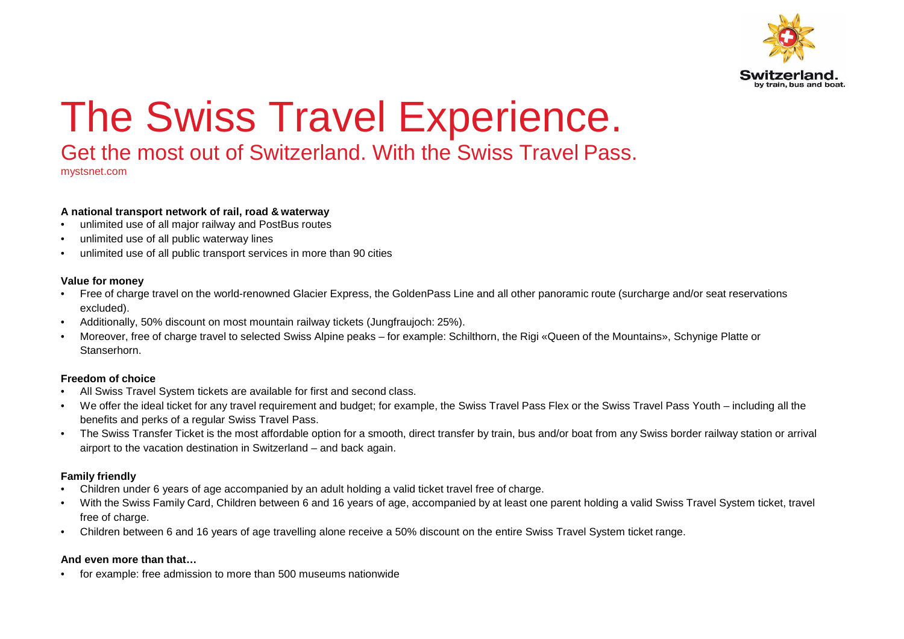

# The Swiss Travel Experience.

## Get the most out of Switzerland. With the Swiss Travel Pass.

mystsnet.com

#### **A national transport network of rail, road & waterway**

- unlimited use of all major railway and PostBus routes
- unlimited use of all public waterway lines
- unlimited use of all public transport services in more than 90 cities

#### **Value for money**

- Free of charge travel on the world-renowned Glacier Express, the GoldenPass Line and all other panoramic route (surcharge and/or seat reservationsexcluded).
- Additionally, 50% discount on most mountain railway tickets (Jungfraujoch: 25%).
- Moreover, free of charge travel to selected Swiss Alpine peaks for example: Schilthorn, the Rigi «Queen of the Mountains», Schynige Platte orStanserhorn.

### **Freedom of choice**

- All Swiss Travel System tickets are available for first and second class.
- We offer the ideal ticket for any travel requirement and budget; for example, the Swiss Travel Pass Flex or the Swiss Travel Pass Youth including all thebenefits and perks of a regular Swiss Travel Pass.
- The Swiss Transfer Ticket is the most affordable option for a smooth, direct transfer by train, bus and/or boat from any Swiss border railway station or arrivalairport to the vacation destination in Switzerland – and back again.

### **Family friendly**

- Children under 6 years of age accompanied by an adult holding a valid ticket travel free of charge.
- With the Swiss Family Card, Children between 6 and 16 years of age, accompanied by at least one parent holding a valid Swiss Travel System ticket, travel free of charge.
- Children between 6 and 16 years of age travelling alone receive a 50% discount on the entire Swiss Travel System ticket range.

#### **And even more than that…**

• for example: free admission to more than 500 museums nationwide